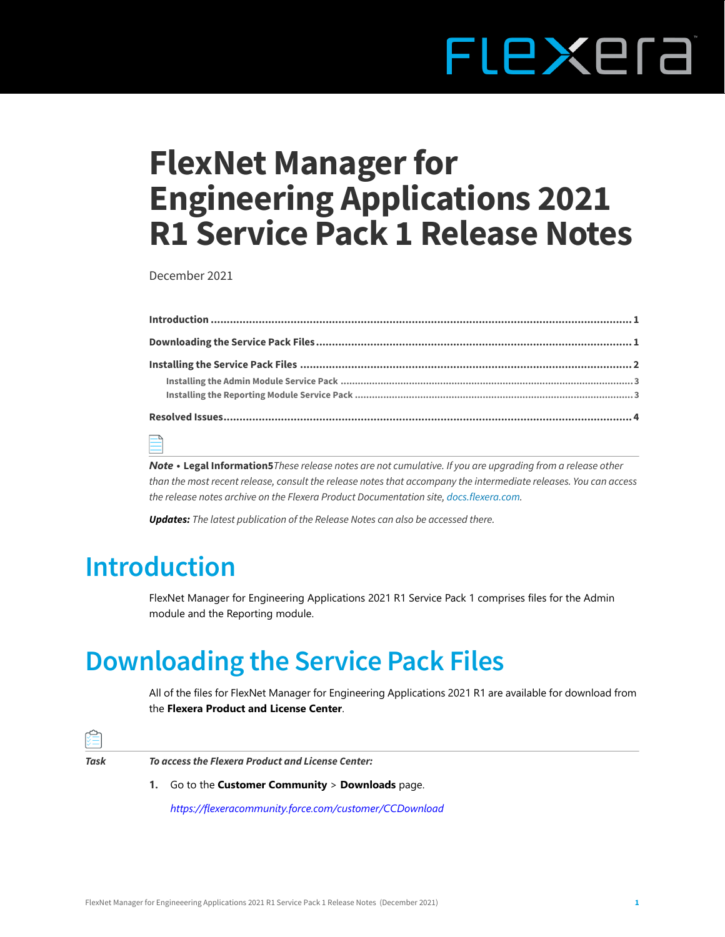# **LEXELS** F

# **FlexNet Manager for Engineering Applications 2021 R1 Service Pack 1 Release Notes**

December 2021

*Note •* **[Legal Information5](#page-4-0)***These release notes are not cumulative. If you are upgrading from a release other than the most recent release, consult the release notes that accompany the intermediate releases. You can access the release notes archive on the Flexera Product Documentation site, [docs.flexera.com](https://helpnet.flexerasoftware.com/?product=FlexNet%20Manager%20for%20Engineering%20Applications).*

*Updates: The latest publication of the Release Notes can also be accessed there.*

# **Introduction**

FlexNet Manager for Engineering Applications 2021 R1 Service Pack 1 comprises files for the Admin module and the Reporting module.

# <span id="page-0-0"></span>**Downloading the Service Pack Files**

All of the files for FlexNet Manager for Engineering Applications 2021 R1 are available for download from the **Flexera Product and License Center**.



*[https://flexeracommunity.force.com/customer/CCDownload](https://flexeracommunity.force.com/customer/CCDownload )*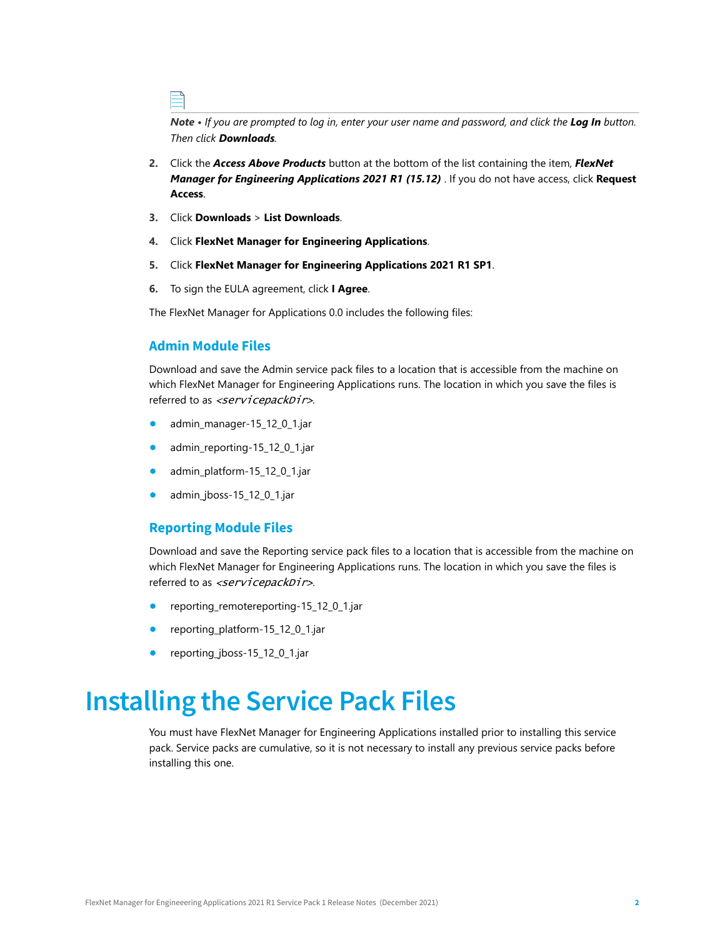*Note • If you are prompted to log in, enter your user name and password, and click the Log In button. Then click Downloads.* 

- **2.** Click the *Access Above Products* button at the bottom of the list containing the item, *FlexNet Manager for Engineering Applications 2021 R1 (15.12)* . If you do not have access, click **Request Access**.
- **3.** Click **Downloads** > **List Downloads**.
- **4.** Click **FlexNet Manager for Engineering Applications**.
- **5.** Click **FlexNet Manager for Engineering Applications 2021 R1 SP1**.
- **6.** To sign the EULA agreement, click **I Agree**.

The FlexNet Manager for Applications 0.0 includes the following files:

#### **Admin Module Files**

Download and save the Admin service pack files to a location that is accessible from the machine on which FlexNet Manager for Engineering Applications runs. The location in which you save the files is referred to as <servicepackDir>.

- **•** admin\_manager-15\_12\_0\_1.jar
- **•** admin\_reporting-15\_12\_0\_1.jar
- **•** admin\_platform-15\_12\_0\_1.jar
- **•** admin\_jboss-15\_12\_0\_1.jar

#### **Reporting Module Files**

Download and save the Reporting service pack files to a location that is accessible from the machine on which FlexNet Manager for Engineering Applications runs. The location in which you save the files is referred to as <servicepackDir>.

- **•** reporting\_remotereporting-15\_12\_0\_1.jar
- **•** reporting\_platform-15\_12\_0\_1.jar
- **•** reporting\_jboss-15\_12\_0\_1.jar

### <span id="page-1-0"></span>**Installing the Service Pack Files**

You must have FlexNet Manager for Engineering Applications installed prior to installing this service pack. Service packs are cumulative, so it is not necessary to install any previous service packs before installing this one.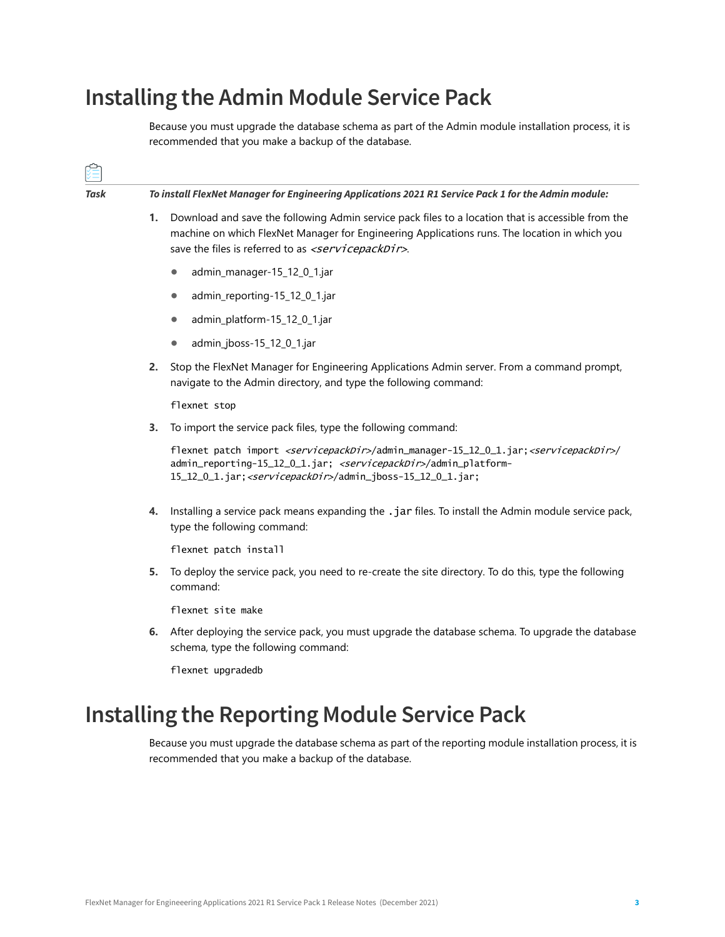### <span id="page-2-0"></span>**Installing the Admin Module Service Pack**

Because you must upgrade the database schema as part of the Admin module installation process, it is recommended that you make a backup of the database.

| Task | To install FlexNet Manager for Engineering Applications 2021 R1 Service Pack 1 for the Admin module: |                                                                                                                                                                                                                                                                                            |  |  |  |
|------|------------------------------------------------------------------------------------------------------|--------------------------------------------------------------------------------------------------------------------------------------------------------------------------------------------------------------------------------------------------------------------------------------------|--|--|--|
|      | 1.                                                                                                   | Download and save the following Admin service pack files to a location that is accessible from the<br>machine on which FlexNet Manager for Engineering Applications runs. The location in which you<br>save the files is referred to as <servicepackdir>.</servicepackdir>                 |  |  |  |
|      |                                                                                                      | admin_manager-15_12_0_1.jar<br>$\bullet$                                                                                                                                                                                                                                                   |  |  |  |
|      |                                                                                                      | admin_reporting-15_12_0_1.jar<br>$\bullet$                                                                                                                                                                                                                                                 |  |  |  |
|      |                                                                                                      | admin_platform-15_12_0_1.jar<br>$\bullet$                                                                                                                                                                                                                                                  |  |  |  |
|      |                                                                                                      | admin_jboss-15_12_0_1.jar<br>$\bullet$                                                                                                                                                                                                                                                     |  |  |  |
|      | 2.                                                                                                   | Stop the FlexNet Manager for Engineering Applications Admin server. From a command prompt,<br>navigate to the Admin directory, and type the following command:                                                                                                                             |  |  |  |
|      |                                                                                                      | flexnet stop                                                                                                                                                                                                                                                                               |  |  |  |
|      | 3.                                                                                                   | To import the service pack files, type the following command:                                                                                                                                                                                                                              |  |  |  |
|      |                                                                                                      | flexnet patch import <servicepackdir>/admin_manager-15_12_0_1.jar;<servicepackdir>/<br/>admin_reporting-15_12_0_1.jar; <servicepackdir>/admin_platform-<br/>15_12_0_1.jar; <servicepackdir>/admin_jboss-15_12_0_1.jar;</servicepackdir></servicepackdir></servicepackdir></servicepackdir> |  |  |  |
|      | 4.                                                                                                   | Installing a service pack means expanding the .jar files. To install the Admin module service pack,<br>type the following command:                                                                                                                                                         |  |  |  |
|      |                                                                                                      | flexnet patch install                                                                                                                                                                                                                                                                      |  |  |  |
|      | 5.                                                                                                   | To deploy the service pack, you need to re-create the site directory. To do this, type the following<br>command:                                                                                                                                                                           |  |  |  |
|      |                                                                                                      | flexnet site make                                                                                                                                                                                                                                                                          |  |  |  |
|      |                                                                                                      | 6. After deploying the service pack, you must upgrade the database schema. To upgrade the database<br>schema, type the following command:                                                                                                                                                  |  |  |  |
|      |                                                                                                      | flexnet upgradedb                                                                                                                                                                                                                                                                          |  |  |  |
|      |                                                                                                      |                                                                                                                                                                                                                                                                                            |  |  |  |

### <span id="page-2-1"></span>**Installing the Reporting Module Service Pack**

Because you must upgrade the database schema as part of the reporting module installation process, it is recommended that you make a backup of the database.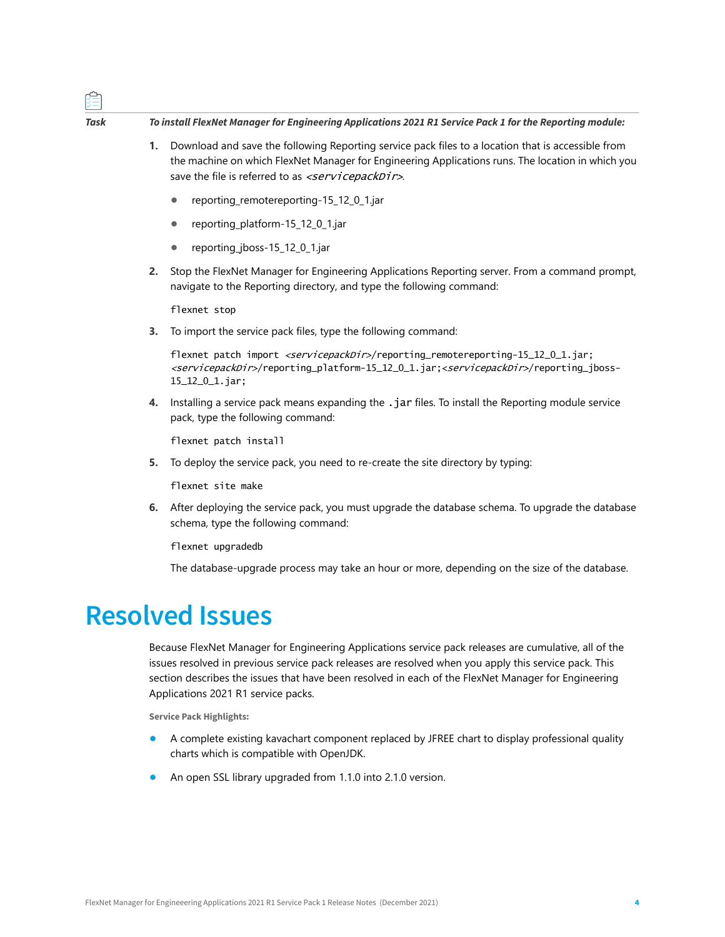### *Task To install FlexNet Manager for Engineering Applications 2021 R1 Service Pack 1 for the Reporting module:*

- **1.** Download and save the following Reporting service pack files to a location that is accessible from the machine on which FlexNet Manager for Engineering Applications runs. The location in which you save the file is referred to as  $\le$ servicepackDir>.
	- **•** reporting\_remotereporting-15\_12\_0\_1.jar
	- **•** reporting\_platform-15\_12\_0\_1.jar
	- **•** reporting\_jboss-15\_12\_0\_1.jar
- **2.** Stop the FlexNet Manager for Engineering Applications Reporting server. From a command prompt, navigate to the Reporting directory, and type the following command:

flexnet stop

**3.** To import the service pack files, type the following command:

flexnet patch import <servicepackDir>/reporting\_remotereporting-15\_12\_0\_1.jar; <servicepackDir>/reporting\_platform-15\_12\_0\_1.jar;<servicepackDir>/reporting\_jboss-15\_12\_0\_1.jar;

**4.** Installing a service pack means expanding the .jar files. To install the Reporting module service pack, type the following command:

flexnet patch install

**5.** To deploy the service pack, you need to re-create the site directory by typing:

flexnet site make

**6.** After deploying the service pack, you must upgrade the database schema. To upgrade the database schema, type the following command:

flexnet upgradedb

The database-upgrade process may take an hour or more, depending on the size of the database.

### <span id="page-3-0"></span>**Resolved Issues**

Because FlexNet Manager for Engineering Applications service pack releases are cumulative, all of the issues resolved in previous service pack releases are resolved when you apply this service pack. This section describes the issues that have been resolved in each of the FlexNet Manager for Engineering Applications 2021 R1 service packs.

**Service Pack Highlights:**

- **•** A complete existing kavachart component replaced by JFREE chart to display professional quality charts which is compatible with OpenJDK.
- **•** An open SSL library upgraded from 1.1.0 into 2.1.0 version.